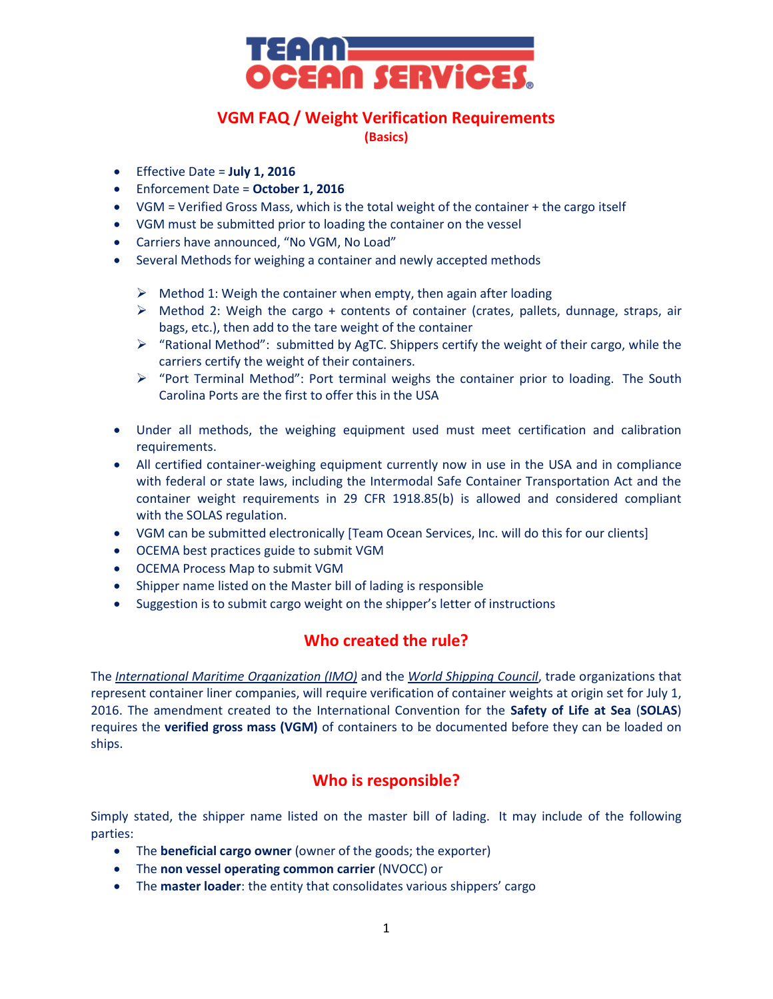

# **VGM FAQ / Weight Verification Requirements**

**(Basics)**

- Effective Date = **July 1, 2016**
- Enforcement Date = **October 1, 2016**
- VGM = Verified Gross Mass, which is the total weight of the container + the cargo itself
- VGM must be submitted prior to loading the container on the vessel
- Carriers have announced, "No VGM, No Load"
- Several Methods for weighing a container and newly accepted methods
	- $\triangleright$  Method 1: Weigh the container when empty, then again after loading
	- $\triangleright$  Method 2: Weigh the cargo + contents of container (crates, pallets, dunnage, straps, air bags, etc.), then add to the tare weight of the container
	- $\triangleright$  "Rational Method": submitted by AgTC. Shippers certify the weight of their cargo, while the carriers certify the weight of their containers.
	- $\triangleright$  "Port Terminal Method": Port terminal weighs the container prior to loading. The South Carolina Ports are the first to offer this in the USA
- Under all methods, the weighing equipment used must meet certification and calibration requirements.
- All certified container-weighing equipment currently now in use in the USA and in compliance with federal or state laws, including the Intermodal Safe Container Transportation Act and the container weight requirements in 29 CFR 1918.85(b) is allowed and considered compliant with the SOLAS regulation.
- VGM can be submitted electronically [Team Ocean Services, Inc. will do this for our clients]
- OCEMA best practices guide to submit VGM
- OCEMA Process Map to submit VGM
- Shipper name listed on the Master bill of lading is responsible
- Suggestion is to submit cargo weight on the shipper's letter of instructions

# **Who created the rule?**

The *[International Maritime Organization \(IMO\)](http://www.imo.org/en/Pages/Default.aspx)* and the *[World Shipping Council](http://www.worldshipping.org/industry-issues/safety/WSC_Summarizes_the_Basic_Elements_of_the_SOLAS_Container_Weight_Verification_Requirement___January_2015_-3-.pdf)*, trade organizations that represent container liner companies, will require verification of container weights at origin set for July 1, 2016. The amendment created to the International Convention for the **Safety of Life at Sea** (**SOLAS**) requires the **verified gross mass (VGM)** of containers to be documented before they can be loaded on ships.

# **Who is responsible?**

Simply stated, the shipper name listed on the master bill of lading. It may include of the following parties:

- The **beneficial cargo owner** (owner of the goods; the exporter)
- The **non vessel operating common carrier** (NVOCC) or
- The **master loader**: the entity that consolidates various shippers' cargo